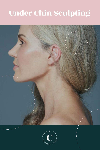# Under Chin Sculpting



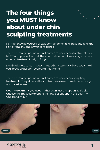# **The four things you MUST know about under chin sculpting treatments**

Permanently rid yourself of stubborn under chin fullness and take that selfie from any angle with confidence.

There are many options when it comes to under chin treatments. You MUST arm yourself with all the information prior to making a decision on what treatment is right for you.

Read on below to learn what many other cosmetic clinics WON'T tell you about under chin sculpting treatments.

There are many options when it comes to under chin sculpting treatments. They differ in their upfront expense, downtime, efficacy and invasiveness.

Get the treatment you need, rather than just the option available. Choose the most comprehensive range of options in the Country. Choose Contour.



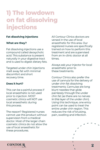# **1) The lowdown on fat dissolving injections**

# **Fat dissolving injections**

# **What are they?**

Fat dissolving injections use a compound called deoxycholic acid. This substance is present naturally in your digestive tract and is used to digest dietary fats.

Targeted under chin injections melt away fat with minimal discomfort and short recovery time.

# **Does it hurt?**

This can be a painful process if local anaesthetic is not used prior to injection. MOST cosmetic clinics will NOT use local anaesthetic during this process.

The reason? Registered nurses cannot use this product without supervision from a medical doctor. Most of the larger chain cosmetic clinics do not allow the use of local anaesthetic for these procedures.

All Contour Clinics doctors are versed in the use of local anaesthetic for this area. Our registered nurses are specifically trained on how to perform this treatment and are supervised from an in-clinic doctor at all times.

Always ask your injector for local anaesthetic prior to these treatments.

Contour Clinics also prefer the use of cannula for the delivery of under chin fat dissolving treatments. Cannulae are long blunt needles that glide painlessly through the under chin fat (as there are no nerves in this layer of the under chin). Using this technique, one entry point can be used to treat the entire under chin region. This reduces the risk of bruising, pain, swelling and infection.

2

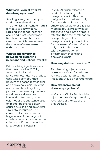# **What can I expect after fat dissolving injections?**

Swelling is very common post fat dissolving injections. This often lasts anywhere from a few days to a few weeks. Bruising and tenderness can occur and is not uncommon. Rarely, under skin firmness can occur which resolves over the course of a few weeks with massage.

# **What is the difference between fat dissolving injections and Belkyra/Kybella?**

Fat dissolving injections were first introduced in 2003 by a dermatologist called Dr Adam Rotunda. The product used was a compounded mixture of phosphatidylcholine and deoxycholic acid. This was used in multiple large body parts and became popular as a non-invasive alternative to liposuction. However, large volumes of this substance used on bigger body areas often caused swelling and downtime similar to liposuction. This caused a decrease in use on larger areas of the body, but smaller areas such as under the chin, bra puffs and above the knees were still popular.

In 2017, Allergan released a product containing only deoxycholic acid. This was designed and marketed only for under the chin and has stricter protocols for use. It is far more painful, almost twice as expensive and is not any more effective than the combination phosphatidylcholine + deoxycholic acid product. It is for this reason Contour Clinics only uses fat dissolving with a combination of phosphatidylcholine and deoxycholic acid.

## **How long do treatments last?**

Fat dissolving injections are permanent. Once fat cells are removed with fat dissolving injections they do not regenerate.

# **How expensive are fat dissolving injections?**

At Contour Clinics fat dissolving injections are \$700 per session, regardless of the size of the area treated.

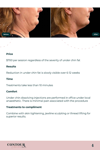

#### **Price**

\$700 per session regardless of the severity of under chin fat

### **Results**

Reduction in under chin fat is slowly visible over 6-12 weeks

### **Time**

Treatments take less than 10 minutes

### **Comfort**

Under chin dissolving injections are performed in office under local anaesthetic. There is minimal pain associated with the procedure

### **Treatments to compliment**

Combine with skin tightening, jawline sculpting or thread lifting for superior results.

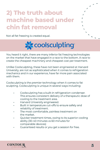# **2) The truth about machine based under chin fat removal**





You heard it right, there are many inferior fat freezing technologies on the market that have engaged in a race to the bottom. A race to create the cheapest machinery and cheapest cost per treatment.

Unlike Coolsculpting, these have not been engineered at Harvard University, are not as sophisticated when it comes to refrigeration mechanics and in our experience, have far more pain associated with them.

Coolsculpting is the premier technology when it comes to fat sculpting. Coolsculpting is unique in several ways including:

- Coolsculpting has a built-in refrigeration condenser. This ensures consistent delivery of a therapeutic dose of cooling to the treatment area.
- Harvard University engineered.
- Built in temperature cut-offs to ensure safety and reliability of treatment.
- The most comfortable, painless treatment on the market.
- Quicker treatment times, owing to its superior cooling ability (30-40 minutes vs 60 minutes for comparable devices)
- Guaranteed results or you get a session for free.

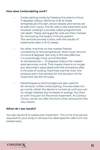## **How does Coolsculpting work?**

- Coolsculpting works by freezing the area to minus 11 degrees Celsius. We know that at these temperatures the skin, blood vessels and nerves are all safe from injury. The fat cells in the treatment area however undergo a process called programmed cell death. These damaged fat cells are then marked for removal by the body's immune system. The removal process is slow, with the results of treatments seen in 8-12 weeks.
- No other machine on the market freezes consistently to this temperature. Most hover around minus 6-8 degrees. Not only is this less effective, it is surprisingly more uncomfortable. At temperatures < -10 degrees Celsius the treated area becomes numb. That means there is no longer any discomfort associated with the procedure after 5 minutes of cooling. Machines warmer than this produce pain that persists for the duration of the treatment (45-60 minutes).
- Radiofrequency technologies are also used for fat removal. Unlike coolsculpting, the area does not go numb, rather the device is turned up until you can no longer tolerate any increases in energy. You then sit with this pain for the entire treatment. At Contour Clinics, we do not offer this form of fat removal for this very reason.

# **When do I see results?**

You see results 8-12 weeks post treatment. This is the time period required for your body to remove the destroyed fat cells from the treated area.

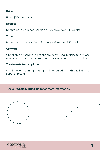# **Price**

From \$500 per session

# **Results**

Reduction in under chin fat is slowly visible over 6-12 weeks

# **Time**

Reduction in under chin fat is slowly visible over 6-12 weeks

# **Comfort**

Under chin dissolving injections are performed in office under local anaesthetic. There is minimal pain associated with the procedure.

# **Treatments to compliment**

Combine with skin tightening, jawline sculpting or thread lifting for superior results.

See our **Coolsculpting page** for more information.



**CONTOUR** 

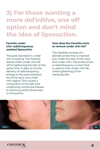# **3) For those wanting a more definitive, one off option and don't mind the idea of liposuction.**

## **Facetite under chin radiofrequency assisted liposuction**

The gold-standard in under chin sculpting. The Facetite device melts under chin fat while tightening the skin at the same time. It does so via the delivery of radiofrequency energy to the subcutaneous fat of the neck and under chin region. This causes a contraction of the skin and underlying connective tissues to restore youthful sharpness to the jawline.

### **How does the Facetite work to remove under chin fat?**

The Facetite consists of a slender probe that is inserted just under the skin of the neck and under chin. The probe emits a radiofrequency current that is used to melt under chin fat, while tightening of the overlying skin.



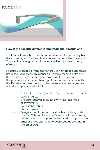

# **How is the Facetite different from traditional liposuction?**

Traditional liposuction uses blunt force to tear fat cells away from their housing within the subcutaneous tissues of the under chin. This can lead to significant bruising/swelling and asymmetry of result.

Facetite utilises radiofrequency energy to heat deep subdermal tissues to 70 degrees. This causes a uniform melting of fat cells, that can then be aspirated and removed at the time of the procedure. Controlled heating of the under-chin area with the Facetite radiofrequency probe has several advantages over traditional liposuction including:

- Tightening of overlying skin (up to 40% contraction in some studies)
- Uniform removal of fat cells with less likelihood of asymmetry.
- Consistent results
- Shorter downtime
- Coagulation of the tiny blood cells supplying under chin fat. This results in significantly reduced swelling and bruising as compared with traditional liposuction.
- Smaller probe sizes lead to decreased trauma during the procedure.

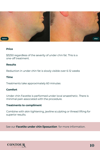

### **Price**

\$3250 regardless of the severity of under chin fat. This is a one-off treatment.

### **Results**

Reduction in under chin fat is slowly visible over 6-12 weeks

# **Time**

Treatments take approximately 60 minutes

# **Comfort**

Under chin Facetite is performed under local anaesthetic. There is minimal pain associated with the procedure.

### **Treatments to compliment**

Combine with skin tightening, jawline sculpting or thread lifting for superior results.

See our **Facetite under chin liposuction** for more information.

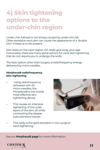# **4) Skin tightening options to the under-chin region**

Under chin fullness is not always caused by under chin fat. Often excessive neck skin can cause the appearance of a 'double chin' if there is no fat present.

Skin laxity on the neck region can really give away your age. Fortunately, there are many good options for neck skin tightening that do not require you to undergo the knife.

The best option other than surgery is radiofrequency energy delivered by micro needles.

# **Morpheus8 radiofrequency skin tightening**

- Using radiofrequency delivered with 24 micro-needles, the Morpheus8 is the worlds most effective skin tightening device.
- This causes an intensive tightening of the outer layers of the skin, all while contracting the deeper subcutaneous tissues.



This really is the gold standard in non-surgical neck tightening.

See our **Morpheus8 page** for more information.

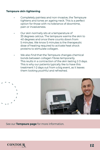# **Tempsure skin tightening**

- Completely painless and non-invasive, the Tempsure tightens and tones an ageing neck. This is a perfect option for those with no tolerance of downtime, pain or invasiveness.
- Our skin normally sits at a temperature of 33 degrees celcius. The tempsure warms the skin to 40 degrees and once there counts down from 5 minutes. We know 5 minutes is the therapeutic dose of heating required to activate heat shock proteins to stimulate collagen.
- We also find that the Tempsure changes chemical bonds between collagen fibres temporarily. This reults in a contraction of the skin lasting 2-3 days. This is why our patients typically like to have this treatment 1-2 days out from a big event, as it leaves them looking youthful and refreshed.



See our **Tempsure page** for more information.

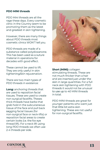# **PDO MINI threads**

PDO Mini threads are all the rage these days. Every cosmetic clinic in the Country seem to be promoting them as the latest and greatest in skin tightening.

However, there are many things about PDO threads most cosmetic clinics WON'T tell you.

PDO threads are made of a substance called polydioxanone. This has been used as a suture material in operations for decades with good effect.

These cannot be used to lift. They are only useful in skin tightening/skin rejuvenation.

There are two main types of PDO threads in existence:

**Long:** anchoring threads that are used to reposition facial tissues. These are used to create non-surgical facelifts. Theses thick threads have barbs that grab hold in the subcutaneous tissue of the face and pull back sagging facial tissues (for non-surgical face or neck-lifts) or reposition facial areas to create certain looks (i.e. the fox eye thread lift). For a neck lift using long PDO threads we often use 2-4 threads per side.



**Short (MINI):** collagen stimulating threads. These are not much thicker than a hair and are inserted just under the skin in large quantities. For a full neck skin tightening with PDO threads it would not be unusual to use up to 40 MINI threads in total.

PDO MINI threads are great for younger patients who want just that little bit extra skin tightening. These are not useful for non-surgical facelifts.